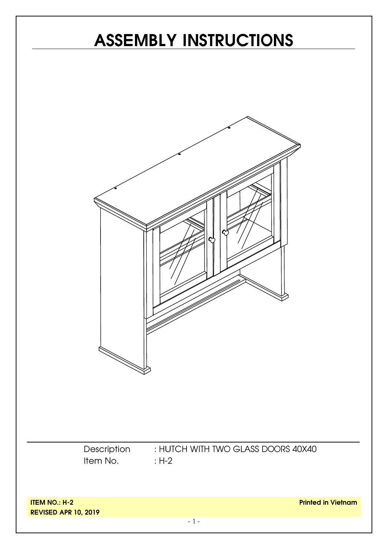# **ITEM NO.: H-2 REVISED APR 10, 2019 Printed in Vietnam** - 1 - **ASSEMBLY INSTRUCTIONS** Description Item No. : HUTCH WITH TWO GLASS DOORS 40X40 : H-2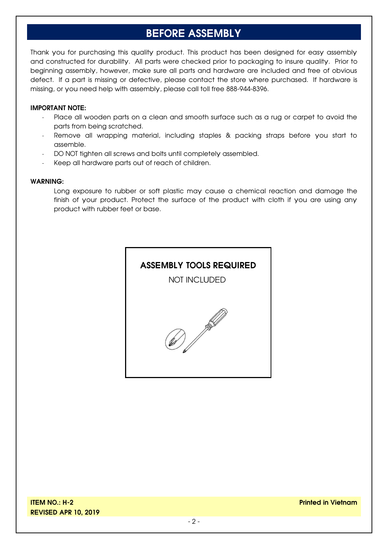#### **BEFORE ASSEMBLY**

Thank you for purchasing this quality product. This product has been designed for easy assembly and constructed for durability. All parts were checked prior to packaging to insure quality. Prior to beginning assembly, however, make sure all parts and hardware are included and free of obvious defect. If a part is missing or defective, please contact the store where purchased. If hardware is missing, or you need help with assembly, please call toll free 888-944-8396.

#### **IMPORTANT NOTE:**

- Place all wooden parts on a clean and smooth surface such as a rug or carpet to avoid the parts from being scratched.
- Remove all wrapping material, including staples & packing straps before you start to assemble.
- DO NOT tighten all screws and bolts until completely assembled.
- Keep all hardware parts out of reach of children.

#### **WARNING:**

Long exposure to rubber or soft plastic may cause a chemical reaction and damage the finish of your product. Protect the surface of the product with cloth if you are using any product with rubber feet or base.

#### **ASSEMBLY TOOLS REQUIRED**

NOT INCLUDED

**PARTICIPATION** 

**ITEM NO.: H-2 REVISED APR 10, 2019**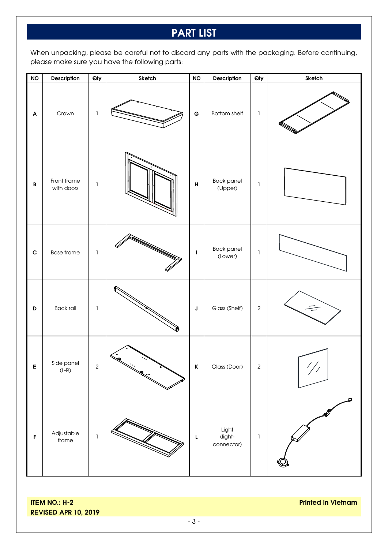#### **PART LIST**

When unpacking, please be careful not to discard any parts with the packaging. Before continuing, please make sure you have the following parts:

| <b>NO</b>        | Description               | Qty          | Sketch | <b>NO</b>    | Description                    | Qty            | Sketch   |
|------------------|---------------------------|--------------|--------|--------------|--------------------------------|----------------|----------|
| $\blacktriangle$ | Crown                     | $\mathbb{I}$ |        | $\mathbf G$  | Bottom shelf                   | $\mathbb{I}$   |          |
| $\, {\bf B}$     | Front frame<br>with doors | $\mathbf{1}$ |        | H            | Back panel<br>(Upper)          | $\mathbf{I}$   |          |
| $\mathbf c$      | <b>Base frame</b>         | $\mathbf{I}$ |        | $\mathbf{I}$ | Back panel<br>(Lower)          | $\mathbb{I}$   |          |
| $\mathsf D$      | <b>Back rail</b>          | $\mathbf{I}$ |        | J            | Glass (Shelf)                  | $\sqrt{2}$     | $\equiv$ |
| E                | Side panel<br>(L-R)       | $\sqrt{2}$   |        | K            | Glass (Door)                   | $\overline{2}$ |          |
| $\mathsf F$      | Adjustable<br>frame       | $\mathbb{I}$ |        | $\mathsf L$  | Light<br>(light-<br>connector) | $\mathbbm{1}$  |          |

**ITEM NO.: H-2 REVISED APR 10, 2019** **Printed in Vietnam**

- 3 -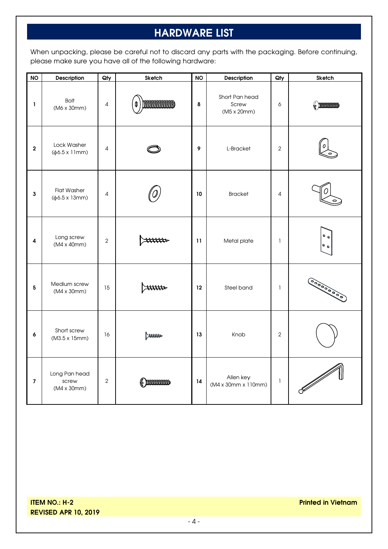## **HARDWARE LIST**

When unpacking, please be careful not to discard any parts with the packaging. Before continuing, please make sure you have all of the following hardware:

| <b>NO</b>               | Description                                            | $Q$ ty         | Sketch                | <b>NO</b> | Description                            | Qty          | Sketch                                                                                                                                                                                                                                                                                                                                                                                                                                                                                                                                                                                                            |
|-------------------------|--------------------------------------------------------|----------------|-----------------------|-----------|----------------------------------------|--------------|-------------------------------------------------------------------------------------------------------------------------------------------------------------------------------------------------------------------------------------------------------------------------------------------------------------------------------------------------------------------------------------------------------------------------------------------------------------------------------------------------------------------------------------------------------------------------------------------------------------------|
| $\mathbf 1$             | <b>Bolt</b><br>(M6 x 30mm)                             | $\overline{4}$ | mmmmmm                | 8         | Short Pan head<br>Screw<br>(M5 x 20mm) | 6            | $\left(\!\!\left(\begin{array}{c}\right.\right.\\ \left.\right.\right.\\ \left.\right.\right.\\ \left.\left.\right.\\ \left.\right.\\ \left.\right.\\ \left.\right.\\ \left.\right.\\ \left.\right.\\ \left\{ \begin{array}{c}\right.\right.\right.\\ \left.\right.\right.\\ \left.\right.\\ \left\{ \begin{array}{c}\right.\right.\right.\\ \left.\right.\\ \left.\right.\\ \left.\right.\\ \left\{ \begin{array}{c}\right.\right.\right.\\ \left.\right.\\ \left\{ \begin{array}{c}\right.\right.\right.\\ \left\{ \begin{array}{c}\right.\right.\\ \left.\left.\right.\\ \left.\right.\\ \left\{ \begin{array$ |
| $\overline{\mathbf{2}}$ | Lock Washer<br>$(\phi 6.5 \times 11$ mm)               | $\overline{4}$ |                       | 9         | L-Bracket                              | $\mathbf{2}$ |                                                                                                                                                                                                                                                                                                                                                                                                                                                                                                                                                                                                                   |
| 3                       | <b>Flat Washer</b><br>$(\phi 6.5 \times 13 \text{mm})$ | 4              |                       | 10        | <b>Bracket</b>                         | 4            |                                                                                                                                                                                                                                                                                                                                                                                                                                                                                                                                                                                                                   |
| 4                       | Long screw<br>(M4 x 40mm)                              | $\overline{2}$ |                       | 11        | Metal plate                            | $\mathbf{1}$ | $^{\circ}$<br>$^{\circ}$                                                                                                                                                                                                                                                                                                                                                                                                                                                                                                                                                                                          |
| 5                       | Medium screw<br>$(M4 \times 30$ mm $)$                 | 15             | rmm                   | 12        | Steel band                             | $\mathbf{1}$ | 0000000000                                                                                                                                                                                                                                                                                                                                                                                                                                                                                                                                                                                                        |
| $\pmb{6}$               | Short screw<br>(M3.5 x 15mm)                           | 16             | $\blacktriangleright$ | 13        | Knob                                   | $\sqrt{2}$   |                                                                                                                                                                                                                                                                                                                                                                                                                                                                                                                                                                                                                   |
| $\overline{7}$          | Long Pan head<br>screw<br>(M4 x 30mm)                  | $\overline{2}$ | (f ) dodddoddd        | 14        | Allen key<br>(M4 x 30mm x 110mm)       | $\mathbf{1}$ |                                                                                                                                                                                                                                                                                                                                                                                                                                                                                                                                                                                                                   |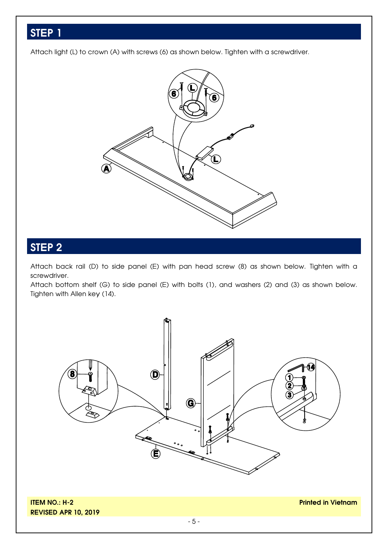Attach light (L) to crown (A) with screws (6) as shown below. Tighten with a screwdriver.



#### **STEP 2**

Attach back rail (D) to side panel (E) with pan head screw (8) as shown below. Tighten with a screwdriver.

Attach bottom shelf (G) to side panel (E) with bolts (1), and washers (2) and (3) as shown below. Tighten with Allen key (14).



**ITEM NO.: H-2 REVISED APR 10, 2019**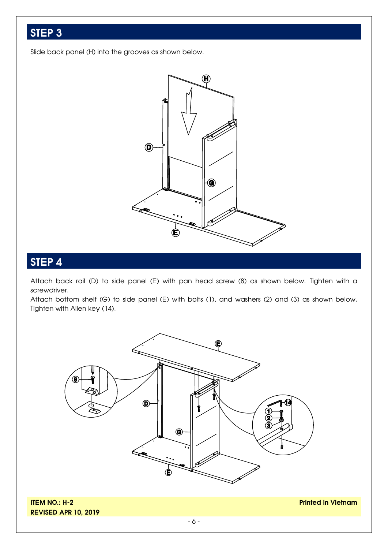Slide back panel (H) into the grooves as shown below.



#### **STEP 4**

Attach back rail (D) to side panel (E) with pan head screw (8) as shown below. Tighten with a screwdriver.

Attach bottom shelf (G) to side panel (E) with bolts (1), and washers (2) and (3) as shown below. Tighten with Allen key (14).



**ITEM NO.: H-2 REVISED APR 10, 2019**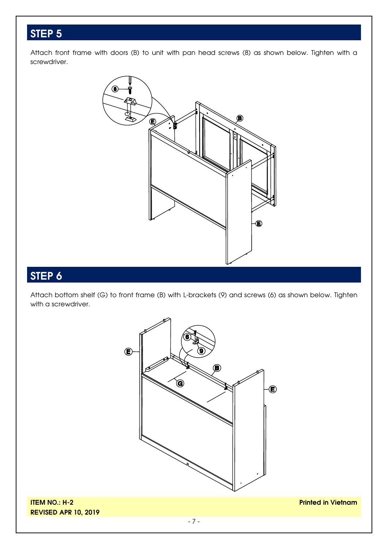Attach front frame with doors (B) to unit with pan head screws (8) as shown below. Tighten with a screwdriver.



#### **STEP 6**

Attach bottom shelf (G) to front frame (B) with L-brackets (9) and screws (6) as shown below. Tighten with a screwdriver.

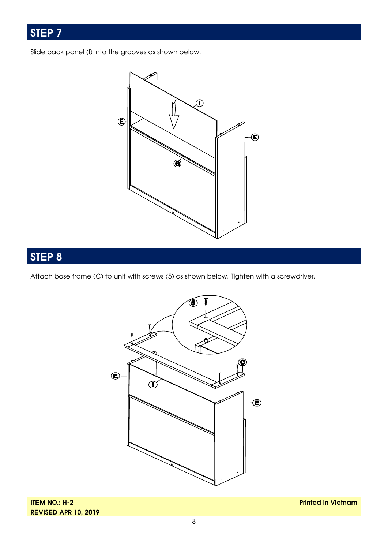Slide back panel (I) into the grooves as shown below.



## **STEP 8**

Attach base frame (C) to unit with screws (5) as shown below. Tighten with a screwdriver.



**ITEM NO.: H-2 REVISED APR 10, 2019**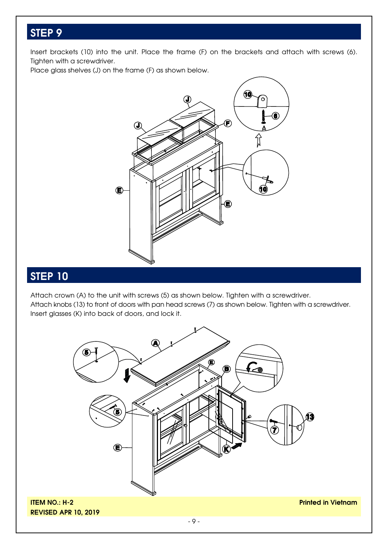Insert brackets (10) into the unit. Place the frame (F) on the brackets and attach with screws (6). Tighten with a screwdriver.

Place glass shelves (J) on the frame (F) as shown below.



#### **STEP 10**

Attach crown (A) to the unit with screws (5) as shown below. Tighten with a screwdriver. Attach knobs (13) to front of doors with pan head screws (7) as shown below. Tighten with a screwdriver. Insert glasses (K) into back of doors, and lock it.